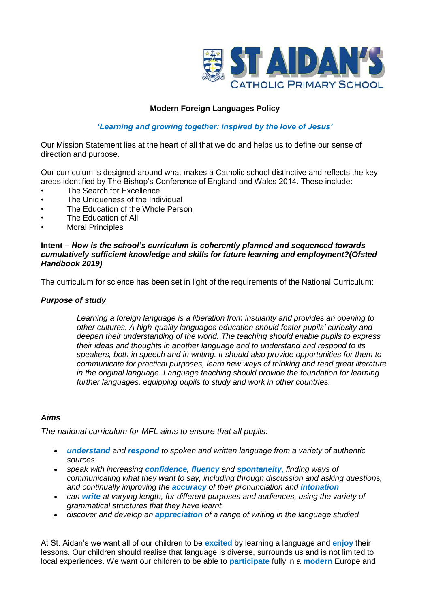

# **Modern Foreign Languages Policy**

# *'Learning and growing together: inspired by the love of Jesus'*

Our Mission Statement lies at the heart of all that we do and helps us to define our sense of direction and purpose.

Our curriculum is designed around what makes a Catholic school distinctive and reflects the key areas identified by The Bishop's Conference of England and Wales 2014. These include:

- The Search for Excellence
- The Uniqueness of the Individual
- The Education of the Whole Person
- The Education of All
- **Moral Principles**

#### **Intent –** *How is the school's curriculum is coherently planned and sequenced towards cumulatively sufficient knowledge and skills for future learning and employment?(Ofsted Handbook 2019)*

The curriculum for science has been set in light of the requirements of the National Curriculum:

### *Purpose of study*

*Learning a foreign language is a liberation from insularity and provides an opening to other cultures. A high-quality languages education should foster pupils' curiosity and deepen their understanding of the world. The teaching should enable pupils to express their ideas and thoughts in another language and to understand and respond to its speakers, both in speech and in writing. It should also provide opportunities for them to communicate for practical purposes, learn new ways of thinking and read great literature in the original language. Language teaching should provide the foundation for learning further languages, equipping pupils to study and work in other countries.*

## *Aims*

*The national curriculum for MFL aims to ensure that all pupils:* 

- *understand and respond to spoken and written language from a variety of authentic sources*
- *speak with increasing confidence, fluency and spontaneity, finding ways of communicating what they want to say, including through discussion and asking questions, and continually improving the accuracy of their pronunciation and intonation*
- *can write at varying length, for different purposes and audiences, using the variety of grammatical structures that they have learnt*
- *discover and develop an appreciation of a range of writing in the language studied*

At St. Aidan's we want all of our children to be **excited** by learning a language and **enjoy** their lessons. Our children should realise that language is diverse, surrounds us and is not limited to local experiences. We want our children to be able to **participate** fully in a **modern** Europe and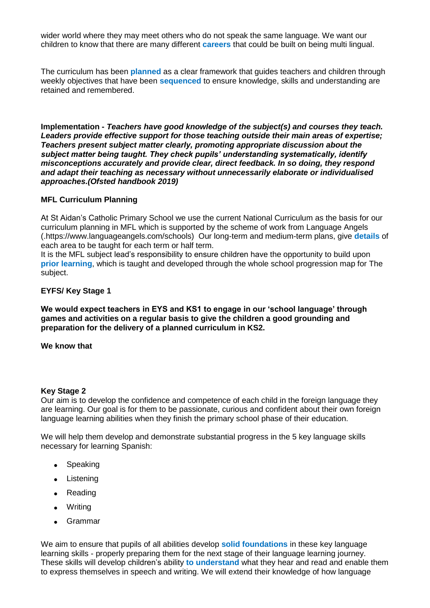wider world where they may meet others who do not speak the same language. We want our children to know that there are many different **careers** that could be built on being multi lingual.

The curriculum has been **planned** as a clear framework that guides teachers and children through weekly objectives that have been **sequenced** to ensure knowledge, skills and understanding are retained and remembered.

**Implementation -** *Teachers have good knowledge of the subject(s) and courses they teach. Leaders provide effective support for those teaching outside their main areas of expertise; Teachers present subject matter clearly, promoting appropriate discussion about the subject matter being taught. They check pupils' understanding systematically, identify misconceptions accurately and provide clear, direct feedback. In so doing, they respond and adapt their teaching as necessary without unnecessarily elaborate or individualised approaches.(Ofsted handbook 2019)*

## **MFL Curriculum Planning**

At St Aidan's Catholic Primary School we use the current National Curriculum as the basis for our curriculum planning in MFL which is supported by the scheme of work from Language Angels (.https://www.languageangels.com/schools) Our long-term and medium-term plans, give **details** of each area to be taught for each term or half term.

It is the MFL subject lead's responsibility to ensure children have the opportunity to build upon **prior learning**, which is taught and developed through the whole school progression map for The subject.

## **EYFS/ Key Stage 1**

**We would expect teachers in EYS and KS1 to engage in our 'school language' through games and activities on a regular basis to give the children a good grounding and preparation for the delivery of a planned curriculum in KS2.**

### **We know that**

#### **Key Stage 2**

Our aim is to develop the confidence and competence of each child in the foreign language they are learning. Our goal is for them to be passionate, curious and confident about their own foreign language learning abilities when they finish the primary school phase of their education.

We will help them develop and demonstrate substantial progress in the 5 key language skills necessary for learning Spanish:

- Speaking
- Listening
- Reading
- Writing
- Grammar

We aim to ensure that pupils of all abilities develop **solid foundations** in these key language learning skills - properly preparing them for the next stage of their language learning journey. These skills will develop children's ability **to understand** what they hear and read and enable them to express themselves in speech and writing. We will extend their knowledge of how language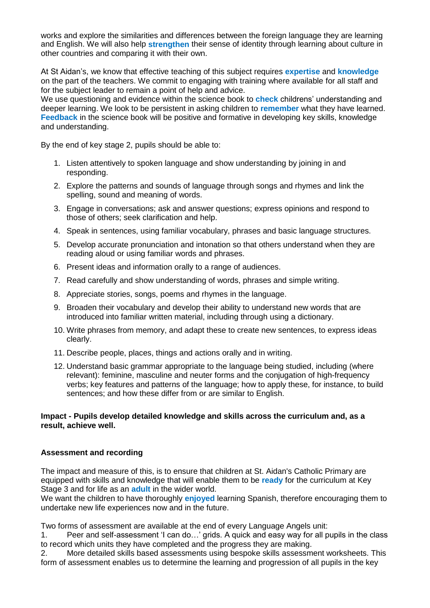works and explore the similarities and differences between the foreign language they are learning and English. We will also help **strengthen** their sense of identity through learning about culture in other countries and comparing it with their own.

At St Aidan's, we know that effective teaching of this subject requires **expertise** and **knowledge** on the part of the teachers. We commit to engaging with training where available for all staff and for the subject leader to remain a point of help and advice.

We use questioning and evidence within the science book to **check** childrens' understanding and deeper learning. We look to be persistent in asking children to **remember** what they have learned. **Feedback** in the science book will be positive and formative in developing key skills, knowledge and understanding.

By the end of key stage 2, pupils should be able to:

- 1. Listen attentively to spoken language and show understanding by joining in and responding.
- 2. Explore the patterns and sounds of language through songs and rhymes and link the spelling, sound and meaning of words.
- 3. Engage in conversations; ask and answer questions; express opinions and respond to those of others; seek clarification and help.
- 4. Speak in sentences, using familiar vocabulary, phrases and basic language structures.
- 5. Develop accurate pronunciation and intonation so that others understand when they are reading aloud or using familiar words and phrases.
- 6. Present ideas and information orally to a range of audiences.
- 7. Read carefully and show understanding of words, phrases and simple writing.
- 8. Appreciate stories, songs, poems and rhymes in the language.
- 9. Broaden their vocabulary and develop their ability to understand new words that are introduced into familiar written material, including through using a dictionary.
- 10. Write phrases from memory, and adapt these to create new sentences, to express ideas clearly.
- 11. Describe people, places, things and actions orally and in writing.
- 12. Understand basic grammar appropriate to the language being studied, including (where relevant): feminine, masculine and neuter forms and the conjugation of high-frequency verbs; key features and patterns of the language; how to apply these, for instance, to build sentences; and how these differ from or are similar to English.

# **Impact - Pupils develop detailed knowledge and skills across the curriculum and, as a result, achieve well.**

## **Assessment and recording**

The impact and measure of this, is to ensure that children at St. Aidan's Catholic Primary are equipped with skills and knowledge that will enable them to be **ready** for the curriculum at Key Stage 3 and for life as an **adult** in the wider world.

We want the children to have thoroughly **enjoyed** learning Spanish, therefore encouraging them to undertake new life experiences now and in the future.

Two forms of assessment are available at the end of every Language Angels unit:

1. Peer and self-assessment 'I can do…' grids. A quick and easy way for all pupils in the class to record which units they have completed and the progress they are making.

2. More detailed skills based assessments using bespoke skills assessment worksheets. This form of assessment enables us to determine the learning and progression of all pupils in the key